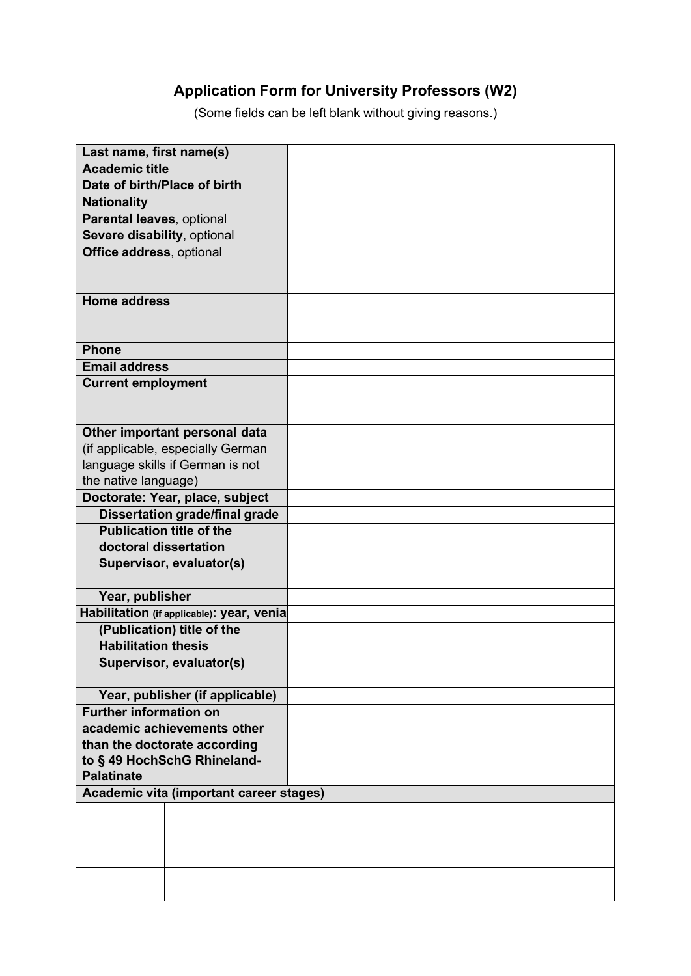## **Application Form for University Professors (W2)**

(Some fields can be left blank without giving reasons.)

| Last name, first name(s)                  |  |
|-------------------------------------------|--|
| <b>Academic title</b>                     |  |
| Date of birth/Place of birth              |  |
| <b>Nationality</b>                        |  |
| Parental leaves, optional                 |  |
| Severe disability, optional               |  |
| Office address, optional                  |  |
|                                           |  |
|                                           |  |
| <b>Home address</b>                       |  |
|                                           |  |
|                                           |  |
| <b>Phone</b>                              |  |
| <b>Email address</b>                      |  |
| <b>Current employment</b>                 |  |
|                                           |  |
|                                           |  |
| Other important personal data             |  |
| (if applicable, especially German         |  |
| language skills if German is not          |  |
| the native language)                      |  |
| Doctorate: Year, place, subject           |  |
| <b>Dissertation grade/final grade</b>     |  |
| <b>Publication title of the</b>           |  |
| doctoral dissertation                     |  |
| Supervisor, evaluator(s)                  |  |
|                                           |  |
| Year, publisher                           |  |
| Habilitation (if applicable): year, venia |  |
| (Publication) title of the                |  |
| <b>Habilitation thesis</b>                |  |
| Supervisor, evaluator(s)                  |  |
|                                           |  |
| Year, publisher (if applicable)           |  |
| <b>Further information on</b>             |  |
| academic achievements other               |  |
| than the doctorate according              |  |
| to § 49 HochSchG Rhineland-               |  |
| <b>Palatinate</b>                         |  |
| Academic vita (important career stages)   |  |
|                                           |  |
|                                           |  |
|                                           |  |
|                                           |  |
|                                           |  |
|                                           |  |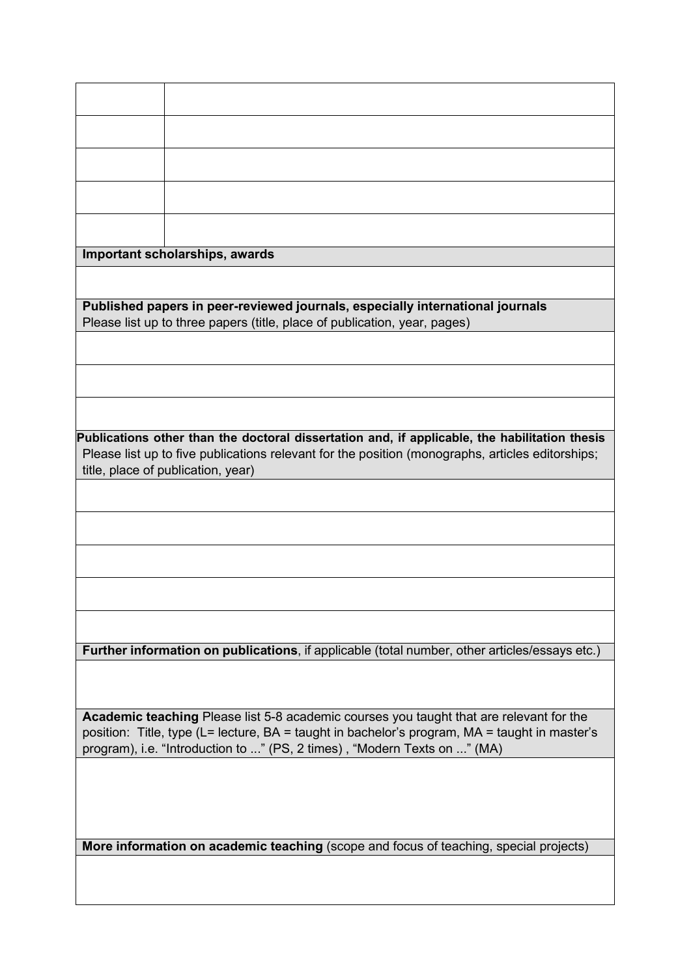| Important scholarships, awards                                                                   |                                                                                                |
|--------------------------------------------------------------------------------------------------|------------------------------------------------------------------------------------------------|
|                                                                                                  |                                                                                                |
|                                                                                                  |                                                                                                |
| Published papers in peer-reviewed journals, especially international journals                    |                                                                                                |
| Please list up to three papers (title, place of publication, year, pages)                        |                                                                                                |
|                                                                                                  |                                                                                                |
|                                                                                                  |                                                                                                |
|                                                                                                  |                                                                                                |
|                                                                                                  |                                                                                                |
|                                                                                                  |                                                                                                |
|                                                                                                  | Publications other than the doctoral dissertation and, if applicable, the habilitation thesis  |
| Please list up to five publications relevant for the position (monographs, articles editorships; |                                                                                                |
|                                                                                                  | title, place of publication, year)                                                             |
|                                                                                                  |                                                                                                |
|                                                                                                  |                                                                                                |
|                                                                                                  |                                                                                                |
|                                                                                                  |                                                                                                |
|                                                                                                  |                                                                                                |
|                                                                                                  |                                                                                                |
|                                                                                                  |                                                                                                |
|                                                                                                  |                                                                                                |
|                                                                                                  |                                                                                                |
|                                                                                                  | Further information on publications, if applicable (total number, other articles/essays etc.)  |
|                                                                                                  |                                                                                                |
|                                                                                                  |                                                                                                |
|                                                                                                  | <b>Academic teaching Please list 5-8 academic courses you taught that are relevant for the</b> |
| position: Title, type (L= lecture, BA = taught in bachelor's program, MA = taught in master's    |                                                                                                |
| program), i.e. "Introduction to " (PS, 2 times), "Modern Texts on " (MA)                         |                                                                                                |
|                                                                                                  |                                                                                                |
|                                                                                                  |                                                                                                |
|                                                                                                  |                                                                                                |
|                                                                                                  |                                                                                                |
|                                                                                                  | More information on academic teaching (scope and focus of teaching, special projects)          |
|                                                                                                  |                                                                                                |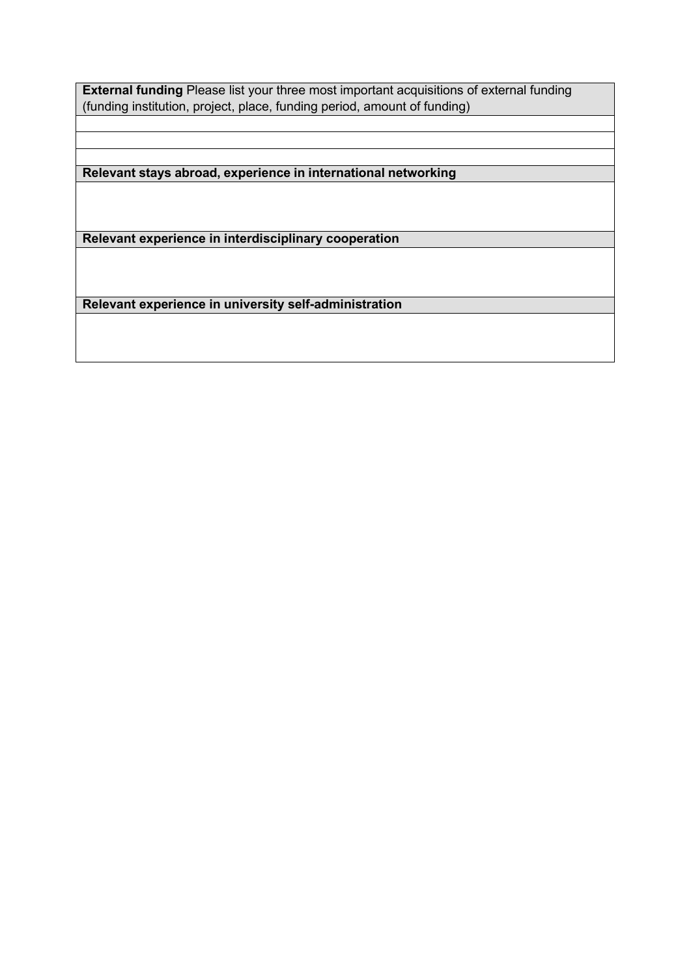**External funding** Please list your three most important acquisitions of external funding (funding institution, project, place, funding period, amount of funding)

**Relevant stays abroad, experience in international networking**

**Relevant experience in interdisciplinary cooperation**

**Relevant experience in university self-administration**